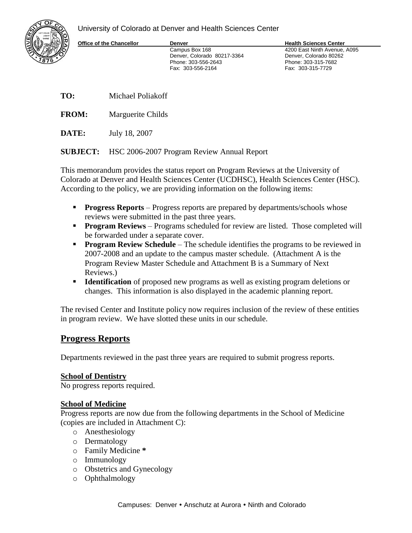University of Colorado at Denver and Health Sciences Center

Fax: 303-556-2164



**Office of the Chancellor <b>Denver Denver Health Sciences Center** 

Campus Box 168 4200 East Ninth Avenue, A095 Denver, Colorado 80217-3364 Denver, Colorado 80262 Phone: 303-556-2643 Phone: 303-315-7682

**TO:** Michael Poliakoff

**FROM:** Marguerite Childs

**DATE:** July 18, 2007

**SUBJECT:** HSC 2006-2007 Program Review Annual Report

This memorandum provides the status report on Program Reviews at the University of Colorado at Denver and Health Sciences Center (UCDHSC), Health Sciences Center (HSC). According to the policy, we are providing information on the following items:

- **Progress Reports** Progress reports are prepared by departments/schools whose reviews were submitted in the past three years.
- **Program Reviews** Programs scheduled for review are listed. Those completed will be forwarded under a separate cover.
- **Program Review Schedule** The schedule identifies the programs to be reviewed in 2007-2008 and an update to the campus master schedule. (Attachment A is the Program Review Master Schedule and Attachment B is a Summary of Next Reviews.)
- **Identification** of proposed new programs as well as existing program deletions or changes. This information is also displayed in the academic planning report.

The revised Center and Institute policy now requires inclusion of the review of these entities in program review. We have slotted these units in our schedule.

# **Progress Reports**

Departments reviewed in the past three years are required to submit progress reports.

### **School of Dentistry**

No progress reports required.

### **School of Medicine**

Progress reports are now due from the following departments in the School of Medicine (copies are included in Attachment C):

- o Anesthesiology
- o Dermatology
- o Family Medicine **\***
- o Immunology
- o Obstetrics and Gynecology
- o Ophthalmology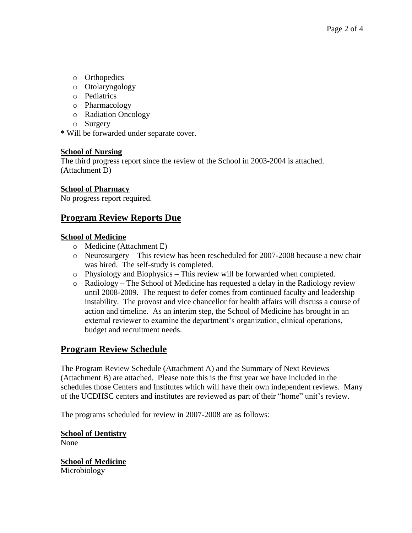- o Orthopedics
- o Otolaryngology
- o Pediatrics
- o Pharmacology
- o Radiation Oncology
- o Surgery

**\*** Will be forwarded under separate cover.

## **School of Nursing**

The third progress report since the review of the School in 2003-2004 is attached. (Attachment D)

### **School of Pharmacy**

No progress report required.

# **Program Review Reports Due**

## **School of Medicine**

- o Medicine (Attachment E)
- o Neurosurgery This review has been rescheduled for 2007-2008 because a new chair was hired. The self-study is completed.
- o Physiology and Biophysics This review will be forwarded when completed.
- o Radiology The School of Medicine has requested a delay in the Radiology review until 2008-2009. The request to defer comes from continued faculty and leadership instability. The provost and vice chancellor for health affairs will discuss a course of action and timeline. As an interim step, the School of Medicine has brought in an external reviewer to examine the department's organization, clinical operations, budget and recruitment needs.

# **Program Review Schedule**

The Program Review Schedule (Attachment A) and the Summary of Next Reviews (Attachment B) are attached. Please note this is the first year we have included in the schedules those Centers and Institutes which will have their own independent reviews. Many of the UCDHSC centers and institutes are reviewed as part of their "home" unit's review.

The programs scheduled for review in 2007-2008 are as follows:

**School of Dentistry** None

**School of Medicine** Microbiology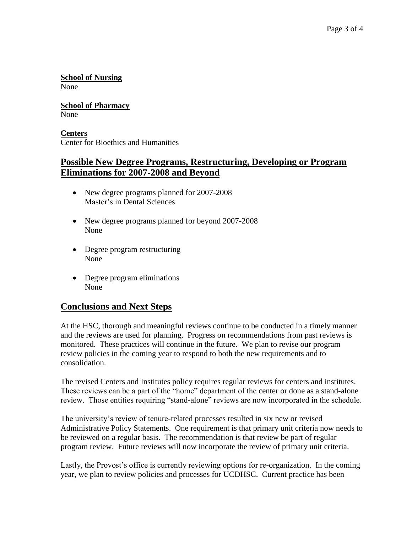**School of Nursing** None

**School of Pharmacy** None

**Centers** Center for Bioethics and Humanities

## **Possible New Degree Programs, Restructuring, Developing or Program Eliminations for 2007-2008 and Beyond**

- New degree programs planned for 2007-2008 Master's in Dental Sciences
- New degree programs planned for beyond 2007-2008 None
- Degree program restructuring None
- Degree program eliminations None

# **Conclusions and Next Steps**

At the HSC, thorough and meaningful reviews continue to be conducted in a timely manner and the reviews are used for planning. Progress on recommendations from past reviews is monitored. These practices will continue in the future. We plan to revise our program review policies in the coming year to respond to both the new requirements and to consolidation.

The revised Centers and Institutes policy requires regular reviews for centers and institutes. These reviews can be a part of the "home" department of the center or done as a stand-alone review. Those entities requiring "stand-alone" reviews are now incorporated in the schedule.

The university's review of tenure-related processes resulted in six new or revised Administrative Policy Statements. One requirement is that primary unit criteria now needs to be reviewed on a regular basis. The recommendation is that review be part of regular program review. Future reviews will now incorporate the review of primary unit criteria.

Lastly, the Provost's office is currently reviewing options for re-organization. In the coming year, we plan to review policies and processes for UCDHSC. Current practice has been